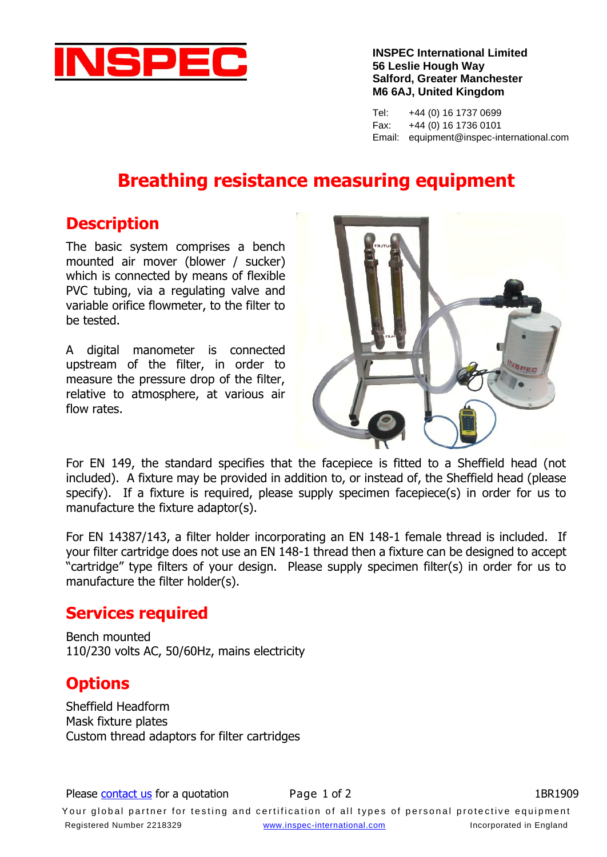

**INSPEC International Limited 56 Leslie Hough Way Salford, Greater Manchester M6 6AJ, United Kingdom**

Tel: +44 (0) 16 1737 0699 Fax: +44 (0) 16 1736 0101 Email: equipment@inspec-international.com

# **Breathing resistance measuring equipment**

#### **Description**

The basic system comprises a bench mounted air mover (blower / sucker) which is connected by means of flexible PVC tubing, via a regulating valve and variable orifice flowmeter, to the filter to be tested.

A digital manometer is connected upstream of the filter, in order to measure the pressure drop of the filter, relative to atmosphere, at various air flow rates.



For EN 149, the standard specifies that the facepiece is fitted to a Sheffield head (not included). A fixture may be provided in addition to, or instead of, the Sheffield head (please specify). If a fixture is required, please supply specimen facepiece(s) in order for us to manufacture the fixture adaptor(s).

For EN 14387/143, a filter holder incorporating an EN 148-1 female thread is included. If your filter cartridge does not use an EN 148-1 thread then a fixture can be designed to accept "cartridge" type filters of your design. Please supply specimen filter(s) in order for us to manufacture the filter holder(s).

#### **Services required**

Bench mounted 110/230 volts AC, 50/60Hz, mains electricity

### **Options**

Sheffield Headform Mask fixture plates Custom thread adaptors for filter cartridges

Your global partner for testing and certification of all types of personal protective equipment Registered Number 2218329 [www.inspec-international.com](http://www.inspec-international.com/) Incorporated in England